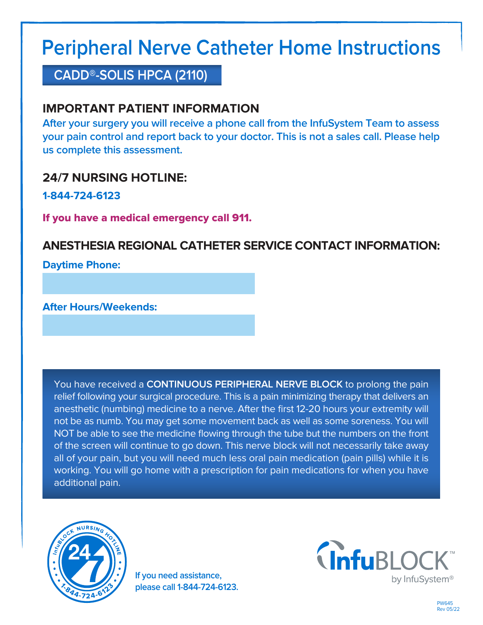# **Peripheral Nerve Catheter Home Instructions**

**CADD®-SOLIS HPCA (2110)**

# **IMPORTANT PATIENT INFORMATION**

**After your surgery you will receive a phone call from the InfuSystem Team to assess your pain control and report back to your doctor. This is not a sales call. Please help us complete this assessment.**

# **24/7 NURSING HOTLINE:**

**1-844-724-6123**

If you have a medical emergency call 911.

# **ANESTHESIA REGIONAL CATHETER SERVICE CONTACT INFORMATION:**

**Daytime Phone:**

**After Hours/Weekends:**

You have received a **CONTINUOUS PERIPHERAL NERVE BLOCK** to prolong the pain relief following your surgical procedure. This is a pain minimizing therapy that delivers an anesthetic (numbing) medicine to a nerve. After the first 12-20 hours your extremity will not be as numb. You may get some movement back as well as some soreness. You will NOT be able to see the medicine flowing through the tube but the numbers on the front of the screen will continue to go down. This nerve block will not necessarily take away all of your pain, but you will need much less oral pain medication (pain pills) while it is working. You will go home with a prescription for pain medications for when you have additional pain.



**If you need assistance, please call 1-844-724-6123.**

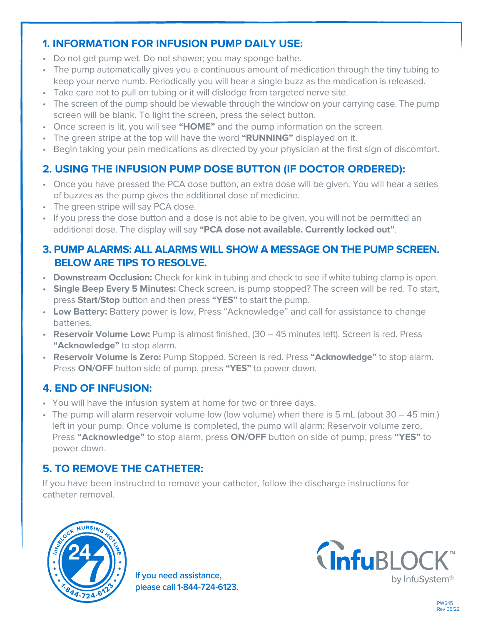### **1. INFORMATION FOR INFUSION PUMP DAILY USE:**

- Do not get pump wet. Do not shower; you may sponge bathe.
- The pump automatically gives you a continuous amount of medication through the tiny tubing to keep your nerve numb. Periodically you will hear a single buzz as the medication is released.
- Take care not to pull on tubing or it will dislodge from targeted nerve site.
- The screen of the pump should be viewable through the window on your carrying case. The pump screen will be blank. To light the screen, press the select button.
- Once screen is lit, you will see **"HOME"** and the pump information on the screen.
- The green stripe at the top will have the word **"RUNNING"** displayed on it.
- Begin taking your pain medications as directed by your physician at the first sign of discomfort.

## **2. USING THE INFUSION PUMP DOSE BUTTON (IF DOCTOR ORDERED):**

- Once you have pressed the PCA dose button, an extra dose will be given. You will hear a series of buzzes as the pump gives the additional dose of medicine.
- The green stripe will say PCA dose.
- If you press the dose button and a dose is not able to be given, you will not be permitted an additional dose. The display will say **"PCA dose not available. Currently locked out"**.

#### **3. PUMP ALARMS: ALL ALARMS WILL SHOW A MESSAGE ON THE PUMP SCREEN. BELOW ARE TIPS TO RESOLVE.**

- **Downstream Occlusion:** Check for kink in tubing and check to see if white tubing clamp is open.
- **Single Beep Every 5 Minutes:** Check screen, is pump stopped? The screen will be red. To start, press **Start/Stop** button and then press **"YES"** to start the pump.
- **Low Battery:** Battery power is low, Press "Acknowledge" and call for assistance to change batteries.
- **Reservoir Volume Low:** Pump is almost finished, (30 45 minutes left). Screen is red. Press **"Acknowledge"** to stop alarm.
- **Reservoir Volume is Zero:** Pump Stopped. Screen is red. Press **"Acknowledge"** to stop alarm. Press **ON/OFF** button side of pump, press **"YES"** to power down.

#### **4. END OF INFUSION:**

- You will have the infusion system at home for two or three days.
- The pump will alarm reservoir volume low (low volume) when there is 5 mL (about 30 45 min.) left in your pump. Once volume is completed, the pump will alarm: Reservoir volume zero, Press **"Acknowledge"** to stop alarm, press **ON/OFF** button on side of pump, press **"YES"** to power down.

## **5. TO REMOVE THE CATHETER:**

If you have been instructed to remove your catheter, follow the discharge instructions for catheter removal.



**If you need assistance, please call 1-844-724-6123.**